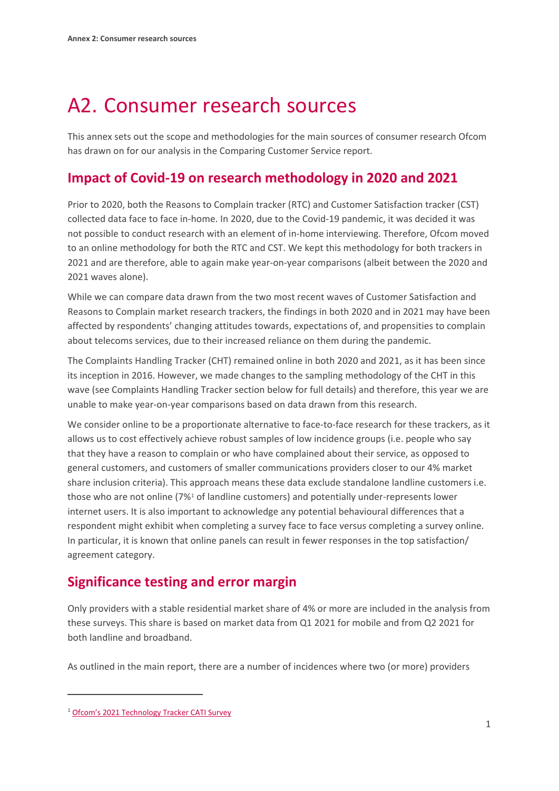# A2. Consumer research sources

This annex sets out the scope and methodologies for the main sources of consumer research Ofcom has drawn on for our analysis in the Comparing Customer Service report.

#### **Impact of Covid-19 on research methodology in 2020 and 2021**

Prior to 2020, both the Reasons to Complain tracker (RTC) and Customer Satisfaction tracker (CST) collected data face to face in-home. In 2020, due to the Covid-19 pandemic, it was decided it was not possible to conduct research with an element of in-home interviewing. Therefore, Ofcom moved to an online methodology for both the RTC and CST. We kept this methodology for both trackers in 2021 and are therefore, able to again make year-on-year comparisons (albeit between the 2020 and 2021 waves alone).

While we can compare data drawn from the two most recent waves of Customer Satisfaction and Reasons to Complain market research trackers, the findings in both 2020 and in 2021 may have been affected by respondents' changing attitudes towards, expectations of, and propensities to complain about telecoms services, due to their increased reliance on them during the pandemic.

The Complaints Handling Tracker (CHT) remained online in both 2020 and 2021, as it has been since its inception in 2016. However, we made changes to the sampling methodology of the CHT in this wave (see Complaints Handling Tracker section below for full details) and therefore, this year we are unable to make year-on-year comparisons based on data drawn from this research.

We consider online to be a proportionate alternative to face-to-face research for these trackers, as it allows us to cost effectively achieve robust samples of low incidence groups (i.e. people who say that they have a reason to complain or who have complained about their service, as opposed to general customers, and customers of smaller communications providers closer to our 4% market share inclusion criteria). This approach means these data exclude standalone landline customers i.e. those who are not online (7%[1](#page-0-0) of landline customers) and potentially under-represents lower internet users. It is also important to acknowledge any potential behavioural differences that a respondent might exhibit when completing a survey face to face versus completing a survey online. In particular, it is known that online panels can result in fewer responses in the top satisfaction/ agreement category.

## **Significance testing and error margin**

Only providers with a stable residential market share of 4% or more are included in the analysis from these surveys. This share is based on market data from Q1 2021 for mobile and from Q2 2021 for both landline and broadband.

As outlined in the main report, there are a number of incidences where two (or more) providers

<span id="page-0-0"></span><sup>1</sup> [Ofcom's 2021 Technology](https://www.ofcom.org.uk/__data/assets/pdf_file/0027/219096/technology-tracker-2021-cati-omnibus-survey-data-tables.pdf) Tracker CATI Survey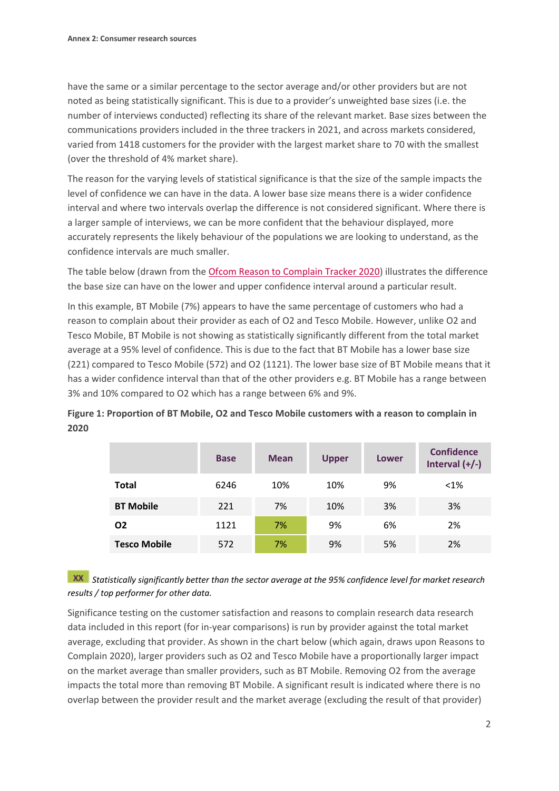have the same or a similar percentage to the sector average and/or other providers but are not noted as being statistically significant. This is due to a provider's unweighted base sizes (i.e. the number of interviews conducted) reflecting its share of the relevant market. Base sizes between the communications providers included in the three trackers in 2021, and across markets considered, varied from 1418 customers for the provider with the largest market share to 70 with the smallest (over the threshold of 4% market share).

The reason for the varying levels of statistical significance is that the size of the sample impacts the level of confidence we can have in the data. A lower base size means there is a wider confidence interval and where two intervals overlap the difference is not considered significant. Where there is a larger sample of interviews, we can be more confident that the behaviour displayed, more accurately represents the likely behaviour of the populations we are looking to understand, as the confidence intervals are much smaller.

The table below (drawn from the [Ofcom Reason to Complain Tracker 2020\)](https://www.ofcom.org.uk/__data/assets/pdf_file/0023/215483/reasons-to-complain-2020-data-tables.pdf) illustrates the difference the base size can have on the lower and upper confidence interval around a particular result.

In this example, BT Mobile (7%) appears to have the same percentage of customers who had a reason to complain about their provider as each of O2 and Tesco Mobile. However, unlike O2 and Tesco Mobile, BT Mobile is not showing as statistically significantly different from the total market average at a 95% level of confidence. This is due to the fact that BT Mobile has a lower base size (221) compared to Tesco Mobile (572) and O2 (1121). The lower base size of BT Mobile means that it has a wider confidence interval than that of the other providers e.g. BT Mobile has a range between 3% and 10% compared to O2 which has a range between 6% and 9%.

| Figure 1: Proportion of BT Mobile, O2 and Tesco Mobile customers with a reason to complain in |  |
|-----------------------------------------------------------------------------------------------|--|
| 2020                                                                                          |  |

|                     | <b>Base</b> | <b>Mean</b> | <b>Upper</b> | Lower | <b>Confidence</b><br>Interval $(+/-)$ |
|---------------------|-------------|-------------|--------------|-------|---------------------------------------|
| <b>Total</b>        | 6246        | 10%         | 10%          | 9%    | $< 1\%$                               |
| <b>BT Mobile</b>    | 221         | 7%          | 10%          | 3%    | 3%                                    |
| O <sub>2</sub>      | 1121        | 7%          | 9%           | 6%    | 2%                                    |
| <b>Tesco Mobile</b> | 572         | 7%          | 9%           | 5%    | 2%                                    |

#### *Statistically significantly better than the sector average at the 95% confidence level for market research results / top performer for other data.*

Significance testing on the customer satisfaction and reasons to complain research data research data included in this report (for in-year comparisons) is run by provider against the total market average, excluding that provider. As shown in the chart below (which again, draws upon Reasons to Complain 2020), larger providers such as O2 and Tesco Mobile have a proportionally larger impact on the market average than smaller providers, such as BT Mobile. Removing O2 from the average impacts the total more than removing BT Mobile. A significant result is indicated where there is no overlap between the provider result and the market average (excluding the result of that provider)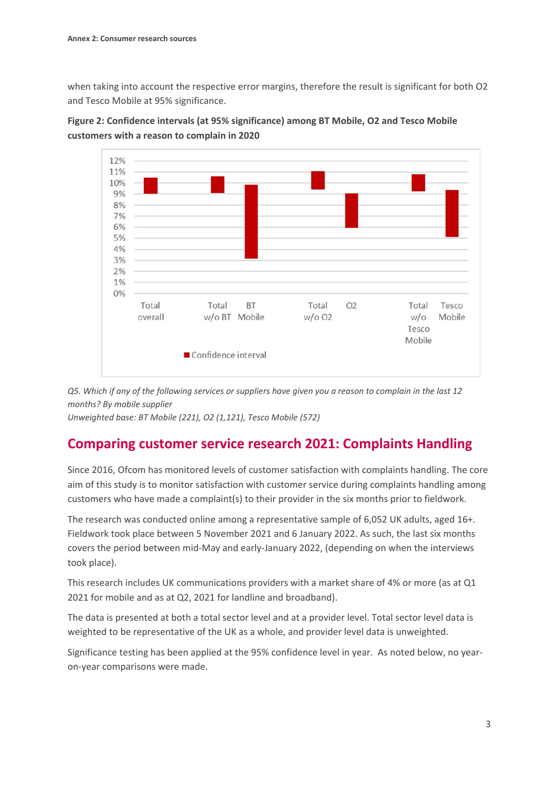when taking into account the respective error margins, therefore the result is significant for both O2 and Tesco Mobile at 95% significance.





*Q5. Which if any of the following services or suppliers have given you a reason to complain in the last 12 months? By mobile supplier*

*Unweighted base: BT Mobile (221), O2 (1,121), Tesco Mobile (572)*

## **Comparing customer service research 2021: Complaints Handling**

Since 2016, Ofcom has monitored levels of customer satisfaction with complaints handling. The core aim of this study is to monitor satisfaction with customer service during complaints handling among customers who have made a complaint(s) to their provider in the six months prior to fieldwork.

The research was conducted online among a representative sample of 6,052 UK adults, aged 16+. Fieldwork took place between 5 November 2021 and 6 January 2022. As such, the last six months covers the period between mid-May and early-January 2022, (depending on when the interviews took place).

This research includes UK communications providers with a market share of 4% or more (as at Q1 2021 for mobile and as at Q2, 2021 for landline and broadband).

The data is presented at both a total sector level and at a provider level. Total sector level data is weighted to be representative of the UK as a whole, and provider level data is unweighted.

Significance testing has been applied at the 95% confidence level in year. As noted below, no yearon-year comparisons were made.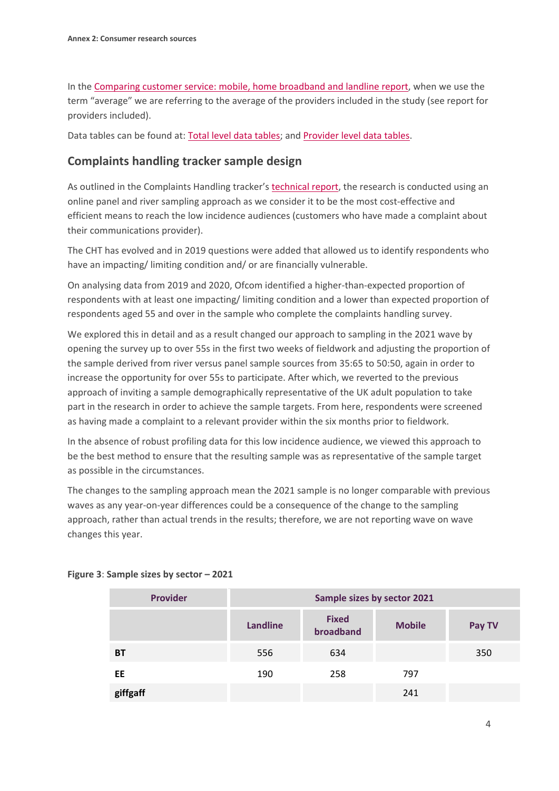In the [Comparing customer service: mobile, home broadband and landline report,](https://eur01.safelinks.protection.outlook.com/?url=https%3A%2F%2Fwww.ofcom.org.uk%2F__data%2Fassets%2Fpdf_file%2F0030%2F237639%2Fcomparing-customer-service-report-2022.pdf&data=05%7C01%7CBeatrix.Kalmar%40ofcom.org.uk%7C7d75146bf813465be99408da34eb4f60%7C0af648de310c40688ae4f9418bae24cc%7C0%7C0%7C637880482492264855%7CUnknown%7CTWFpbGZsb3d8eyJWIjoiMC4wLjAwMDAiLCJQIjoiV2luMzIiLCJBTiI6Ik1haWwiLCJXVCI6Mn0%3D%7C3000%7C%7C%7C&sdata=qBBizP%2B9pfpg7lyVN8kkomyHLp5FSLvg%2B%2BntNKsj3rE%3D&reserved=0) when we use the term "average" we are referring to the average of the providers included in the study (see report for providers included).

Data tables can be found at: [Total level data tables;](https://www.ofcom.org.uk/__data/assets/pdf_file/0012/233130/ofcom-cht-2021-tables-wtd-total-market-crossbreaks.pdf) and [Provider level data tables.](https://www.ofcom.org.uk/__data/assets/pdf_file/0020/233129/ofcom-cht-2021-tables-unwtd-supplier-crossbreaks.pdf)

#### **Complaints handling tracker sample design**

As outlined in the Complaints Handling tracker's [technical report,](https://www.ofcom.org.uk/__data/assets/pdf_file/0018/234054/ofcom-complaints-handling-tracker-2021-annual-technical-report.pdf) the research is conducted using an online panel and river sampling approach as we consider it to be the most cost-effective and efficient means to reach the low incidence audiences (customers who have made a complaint about their communications provider).

The CHT has evolved and in 2019 questions were added that allowed us to identify respondents who have an impacting/ limiting condition and/ or are financially vulnerable.

On analysing data from 2019 and 2020, Ofcom identified a higher-than-expected proportion of respondents with at least one impacting/ limiting condition and a lower than expected proportion of respondents aged 55 and over in the sample who complete the complaints handling survey.

We explored this in detail and as a result changed our approach to sampling in the 2021 wave by opening the survey up to over 55s in the first two weeks of fieldwork and adjusting the proportion of the sample derived from river versus panel sample sources from 35:65 to 50:50, again in order to increase the opportunity for over 55s to participate. After which, we reverted to the previous approach of inviting a sample demographically representative of the UK adult population to take part in the research in order to achieve the sample targets. From here, respondents were screened as having made a complaint to a relevant provider within the six months prior to fieldwork.

In the absence of robust profiling data for this low incidence audience, we viewed this approach to be the best method to ensure that the resulting sample was as representative of the sample target as possible in the circumstances.

The changes to the sampling approach mean the 2021 sample is no longer comparable with previous waves as any year-on-year differences could be a consequence of the change to the sampling approach, rather than actual trends in the results; therefore, we are not reporting wave on wave changes this year.

| <b>Provider</b> | Sample sizes by sector 2021 |                           |               |        |  |  |
|-----------------|-----------------------------|---------------------------|---------------|--------|--|--|
|                 | Landline                    | <b>Fixed</b><br>broadband | <b>Mobile</b> | Pay TV |  |  |
| <b>BT</b>       | 556                         | 634                       |               | 350    |  |  |
| EE              | 190                         | 258                       | 797           |        |  |  |
| giffgaff        |                             |                           | 241           |        |  |  |

**Figure 3**: **Sample sizes by sector – 2021**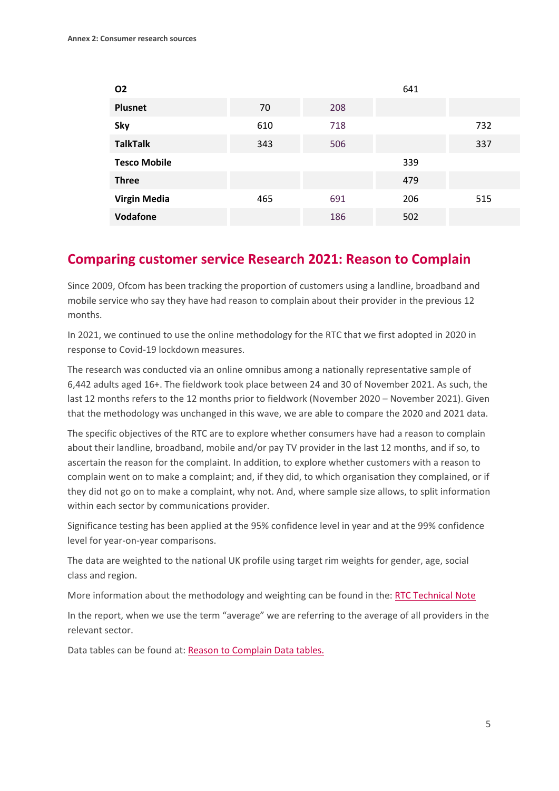| <b>O2</b>           |     |     | 641 |     |
|---------------------|-----|-----|-----|-----|
| <b>Plusnet</b>      | 70  | 208 |     |     |
| Sky                 | 610 | 718 |     | 732 |
| <b>TalkTalk</b>     | 343 | 506 |     | 337 |
| <b>Tesco Mobile</b> |     |     | 339 |     |
| <b>Three</b>        |     |     | 479 |     |
| <b>Virgin Media</b> | 465 | 691 | 206 | 515 |
| Vodafone            |     | 186 | 502 |     |

#### **Comparing customer service Research 2021: Reason to Complain**

Since 2009, Ofcom has been tracking the proportion of customers using a landline, broadband and mobile service who say they have had reason to complain about their provider in the previous 12 months.

In 2021, we continued to use the online methodology for the RTC that we first adopted in 2020 in response to Covid-19 lockdown measures.

The research was conducted via an online omnibus among a nationally representative sample of 6,442 adults aged 16+. The fieldwork took place between 24 and 30 of November 2021. As such, the last 12 months refers to the 12 months prior to fieldwork (November 2020 – November 2021). Given that the methodology was unchanged in this wave, we are able to compare the 2020 and 2021 data.

The specific objectives of the RTC are to explore whether consumers have had a reason to complain about their landline, broadband, mobile and/or pay TV provider in the last 12 months, and if so, to ascertain the reason for the complaint. In addition, to explore whether customers with a reason to complain went on to make a complaint; and, if they did, to which organisation they complained, or if they did not go on to make a complaint, why not. And, where sample size allows, to split information within each sector by communications provider.

Significance testing has been applied at the 95% confidence level in year and at the 99% confidence level for year-on-year comparisons.

The data are weighted to the national UK profile using target rim weights for gender, age, social class and region.

More information about the methodology and weighting can be found in the: [RTC Technical Note](https://www.ofcom.org.uk/__data/assets/pdf_file/0018/232704/Reasons-to-Complain-Tracker-2021-Technical-Report.pdf) 

In the report, when we use the term "average" we are referring to the average of all providers in the relevant sector.

Data tables can be found at: [Reason to Complain Data tables.](https://www.ofcom.org.uk/__data/assets/pdf_file/0015/232701/Reasons-To-Complain-Tracker-2021-Data-Tables.pdf)